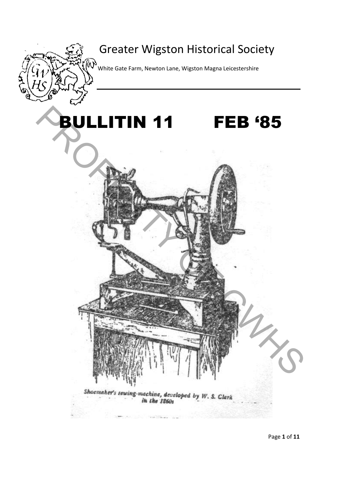# Greater Wigston Historical Society

 $\begin{Bmatrix} \bigotimes \ \mathsf{W} \end{Bmatrix}$  White Gate Farm, Newton Lane, Wigston Magna Leicestershire

# **PULLITIN 11** BULLITIN 11 FEB '85

Shoemaker's sewing-machine, developed by W. S. Clark

OF GWHS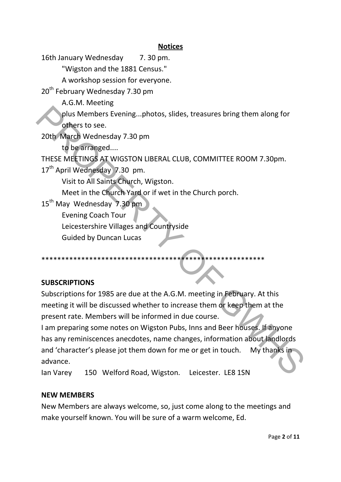#### **Notices**

16th January Wednesday 7.30 pm.

"Wigston and the 1881 Census."

A workshop session for everyone.

20<sup>th</sup> February Wednesday 7.30 pm

A.G.M. Meeting

plus Members Evening...photos, slides, treasures bring them along for others to see.

20th March Wednesday 7.30 pm

to be arranged....

THESE MEETINGS AT WIGSTON LIBERAL CLUB, COMMITTEE ROOM 7.30pm.

17<sup>th</sup> April Wednesday 7.30 pm.

Visit to All Saints Church, Wigston.

Meet in the Church Yard or if wet in the Church porch.

15<sup>th</sup> May Wednesday 7.30 pm

Evening Coach Tour

Leicestershire Villages and Countryside

Guided by Duncan Lucas

## \*\*\*\*\*\*\*\*\*\*\*\*\*\*\*\*\*\*\*\*\*\*\*\*\*\*\*\*\*\*\*\*\*\*\*\*\*\*\*\*\*\*\*\*\*\*\*\*\*\*\*\*\*\*\*\*

#### **SUBSCRIPTIONS**

Subscriptions for 1985 are due at the A.G.M. meeting in February. At this meeting it will be discussed whether to increase them or keep them at the present rate. Members will be informed in due course.

I am preparing some notes on Wigston Pubs, Inns and Beer houses. If anyone has any reminiscences anecdotes, name changes, information about landlords and 'character's please jot them down for me or get in touch. My thanks in advance. plus Members Evening...photos, slides, treasures bring them along for<br>
20th March Wednesday 7.30 pm<br>
to be arranged...<br>
THESE MEETINGS AT WIGSTON LIBERAL CLUB, COMMITTEE ROOM 7.30pm.<br>
17<sup>th</sup> April Wednesday 7.30 pm.<br>
Visit

Ian Varey 150 Welford Road, Wigston. Leicester. LE8 1SN

#### **NEW MEMBERS**

New Members are always welcome, so, just come along to the meetings and make yourself known. You will be sure of a warm welcome, Ed.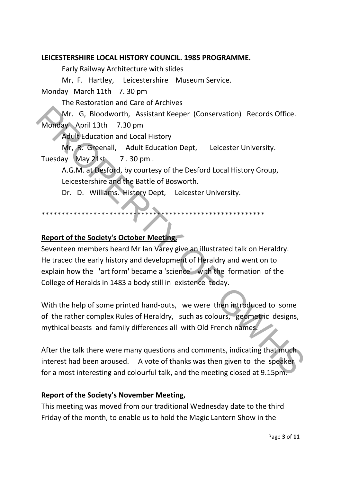#### **LEICESTERSHIRE LOCAL HISTORY COUNCIL. 1985 PROGRAMME.**

Early Railway Architecture with slides

Mr, F. Hartley, Leicestershire Museum Service.

Monday March 11th 7. 30 pm

The Restoration and Care of Archives

Mr. G, Bloodworth, Assistant Keeper (Conservation) Records Office. Monday April 13th 7.30 pm

Adult Education and Local History

Mr, R. Greenall, Adult Education Dept, Leicester University. Tuesday May 21st 7.30 pm.

A.G.M. at Desford, by courtesy of the Desford Local History Group, Leicestershire and the Battle of Bosworth.

Dr. D. Williams. History Dept, Leicester University.

#### \*\*\*\*\*\*\*\*\*\*\*\*\*\*\*\*\*\*\*\*\*\*\*\*\*\*\*\*\*\*\*\*\*\*\*\*\*\*\*\*\*\*\*\*\*\*\*\*\*\*\*\*\*\*\*\*

#### **Report of the Society's October Meeting,**

Seventeen members heard Mr Ian Varey give an illustrated talk on Heraldry. He traced the early history and development of Heraldry and went on to explain how the 'art form' became a 'science' with the formation of the College of Heralds in 1483 a body still in existence today. Mr. G, Bloodworth, Assistant Keeper (Conservation) Records Office.<br>
Morday April 13th 7.30 pm<br>
Adult Education and Local History<br>
Mr. R. Greenall, Adult Education Dept, Leicester University.<br>
Tuesday May 21st 7.30 pm<br>
A.G.

With the help of some printed hand-outs, we were then introduced to some of the rather complex Rules of Heraldry, such as colours, geometric designs, mythical beasts and family differences all with Old French names.

After the talk there were many questions and comments, indicating that much interest had been aroused. A vote of thanks was then given to the speaker for a most interesting and colourful talk, and the meeting closed at 9.15pm.

#### **Report of the Society's November Meeting,**

This meeting was moved from our traditional Wednesday date to the third Friday of the month, to enable us to hold the Magic Lantern Show in the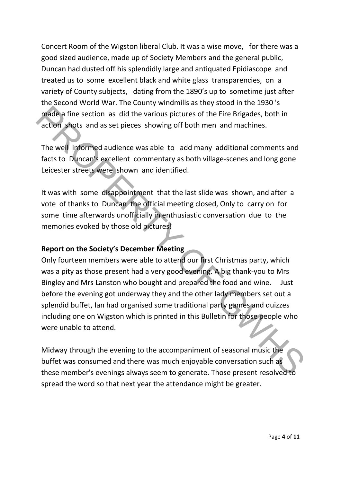Concert Room of the Wigston liberal Club. It was a wise move, for there was a good sized audience, made up of Society Members and the general public, Duncan had dusted off his splendidly large and antiquated Epidiascope and treated us to some excellent black and white glass transparencies, on a variety of County subjects, dating from the 1890's up to sometime just after the Second World War. The County windmills as they stood in the 1930 's made a fine section as did the various pictures of the Fire Brigades, both in action shots and as set pieces showing off both men and machines.

The well informed audience was able to add many additional comments and facts to Duncan's excellent commentary as both village-scenes and long gone Leicester streets were shown and identified.

It was with some disappointment that the last slide was shown, and after a vote of thanks to Duncan the official meeting closed, Only to carry on for some time afterwards unofficially in enthusiastic conversation due to the memories evoked by those old pictures!

#### **Report on the Society's December Meeting**

Only fourteen members were able to attend our first Christmas party, which was a pity as those present had a very good evening. A big thank-you to Mrs Bingley and Mrs Lanston who bought and prepared the food and wine. Just before the evening got underway they and the other lady members set out a splendid buffet, Ian had organised some traditional party games and quizzes including one on Wigston which is printed in this Bulletin for those people who were unable to attend. made a fine section as did the various pictures of the Fire Brigades, both in<br>action shots and as set pieces showing off both men and machines.<br>The well informed audience was able to add many additional comments and<br>facts

Midway through the evening to the accompaniment of seasonal music the buffet was consumed and there was much enjoyable conversation such as these member's evenings always seem to generate. Those present resolved to spread the word so that next year the attendance might be greater.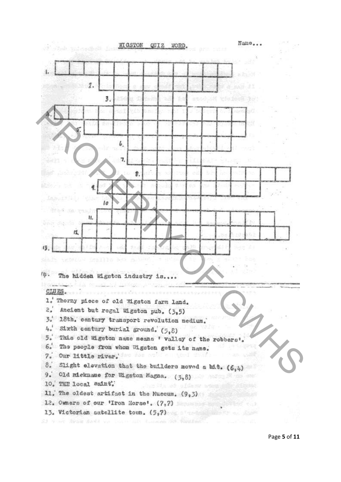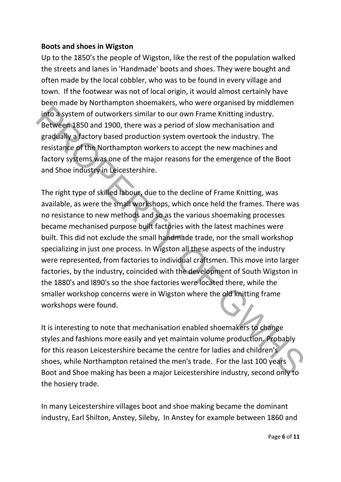#### **Boots and shoes in Wigston**

Up to the 1850's the people of Wigston, like the rest of the population walked the streets and lanes in 'Handmade' boots and shoes. They were bought and often made by the local cobbler, who was to be found in every village and town. If the footwear was not of local origin, it would almost certainly have been made by Northampton shoemakers, who were organised by middlemen into a system of outworkers similar to our own Frame Knitting industry. Between 1850 and 1900, there was a period of slow mechanisation and gradually a factory based production system overtook the industry. The resistance of the Northampton workers to accept the new machines and factory systems was one of the major reasons for the emergence of the Boot and Shoe industry in Leicestershire.

The right type of skilled labour, due to the decline of Frame Knitting, was available, as were the small workshops, which once held the frames. There was no resistance to new methods and so as the various shoemaking processes became mechanised purpose built factories with the latest machines were built. This did not exclude the small handmade trade, nor the small workshop specializing in just one process. In Wigston all these aspects of the industry were represented, from factories to individual craftsmen. This move into larger factories, by the industry, coincided with the development of South Wigston in the 1880's and l890's so the shoe factories were located there, while the smaller workshop concerns were in Wigston where the old knitting frame workshops were found. into a system of outworkers similar to our own Frame Knitting industry.<br>Between 1850 and 1900, there was a period of slow mechanisation and<br>gradually a Jactory based production system overtook the industry. The<br>rigistance

It is interesting to note that mechanisation enabled shoemakers to change styles and fashions more easily and yet maintain volume production. Probably for this reason Leicestershire became the centre for ladies and children's shoes, while Northampton retained the men's trade. For the last 100 years Boot and Shoe making has been a major Leicestershire industry, second only to the hosiery trade.

In many Leicestershire villages boot and shoe making became the dominant industry, Earl Shilton, Anstey, Sileby, In Anstey for example between 1860 and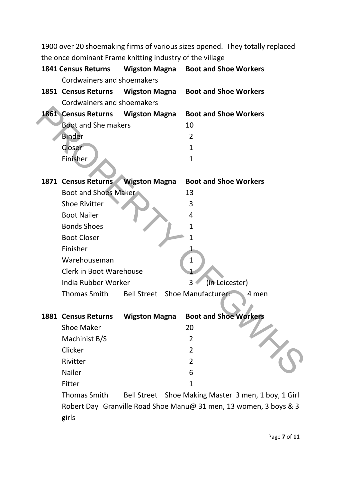1900 over 20 shoemaking firms of various sizes opened. They totally replaced the once dominant Frame knitting industry of the village

| <b>1841 Census Returns</b>     | <b>Wigston Magna</b> | <b>Boot and Shoe Workers</b>   |                                                     |
|--------------------------------|----------------------|--------------------------------|-----------------------------------------------------|
| Cordwainers and shoemakers     |                      |                                |                                                     |
| 1851 Census Returns            | <b>Wigston Magna</b> | <b>Boot and Shoe Workers</b>   |                                                     |
| Cordwainers and shoemakers     |                      |                                |                                                     |
| 1861 Census Returns            | <b>Wigston Magna</b> | <b>Boot and Shoe Workers</b>   |                                                     |
| <b>Boot and She makers</b>     |                      | 10                             |                                                     |
| <b>Binder</b>                  |                      | $\overline{2}$                 |                                                     |
| Closer                         |                      | $\mathbf{1}$                   |                                                     |
| Finisher                       |                      | $\mathbf{1}$                   |                                                     |
|                                |                      |                                |                                                     |
| 1871 Census Returns            | <b>Wigston Magna</b> | <b>Boot and Shoe Workers</b>   |                                                     |
| <b>Boot and Shoes Maker</b>    |                      | 13                             |                                                     |
| <b>Shoe Rivitter</b>           |                      | 3                              |                                                     |
| <b>Boot Nailer</b>             |                      | 4                              |                                                     |
| <b>Bonds Shoes</b>             |                      | 1                              |                                                     |
| <b>Boot Closer</b>             |                      | 1                              |                                                     |
| Finisher                       |                      |                                |                                                     |
| Warehouseman                   |                      | $\mathbf 1$                    |                                                     |
| <b>Clerk in Boot Warehouse</b> |                      |                                |                                                     |
| India Rubber Worker            |                      | (in Leicester)<br>3            |                                                     |
| Thomas Smith                   |                      | Bell Street Shoe Manufacturer: | 4 men                                               |
|                                |                      |                                |                                                     |
| <b>1881 Census Returns</b>     | <b>Wigston Magna</b> | <b>Boot and Shoe Workers</b>   |                                                     |
| <b>Shoe Maker</b>              |                      | 20                             |                                                     |
| Machinist B/S                  |                      | 2                              |                                                     |
| Clicker                        |                      | 2                              |                                                     |
| Rivitter                       |                      | 2                              |                                                     |
| Nailer                         |                      | 6                              |                                                     |
| Fitter                         |                      | $\mathbf{1}$                   |                                                     |
| <b>Thomas Smith</b>            |                      |                                | Bell Street Shoe Making Master 3 men, 1 boy, 1 Girl |
|                                |                      |                                |                                                     |

Robert Day Granville Road Shoe Manu@ 31 men, 13 women, 3 boys & 3 girls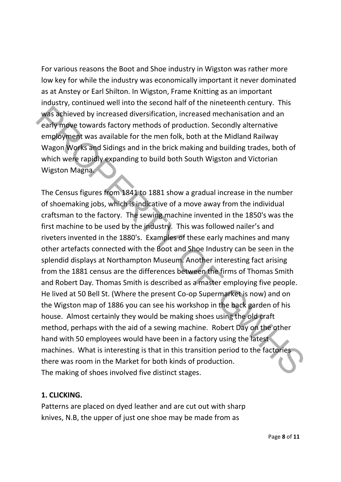For various reasons the Boot and Shoe industry in Wigston was rather more low key for while the industry was economically important it never dominated as at Anstey or Earl Shilton. In Wigston, Frame Knitting as an important industry, continued well into the second half of the nineteenth century. This was achieved by increased diversification, increased mechanisation and an early move towards factory methods of production. Secondly alternative employment was available for the men folk, both at the Midland Railway Wagon Works and Sidings and in the brick making and building trades, both of which were rapidly expanding to build both South Wigston and Victorian Wigston Magna.

The Census figures from 1841 to 1881 show a gradual increase in the number of shoemaking jobs, which is indicative of a move away from the individual craftsman to the factory. The sewing machine invented in the 1850's was the first machine to be used by the industry. This was followed nailer's and riveters invented in the 1880's. Examples of these early machines and many other artefacts connected with the Boot and Shoe Industry can be seen in the splendid displays at Northampton Museum. Another interesting fact arising from the 1881 census are the differences between the firms of Thomas Smith and Robert Day. Thomas Smith is described as a master employing five people. He lived at 50 Bell St. (Where the present Co-op Supermarket is now) and on the Wigston map of 1886 you can see his workshop in the back garden of his house. Almost certainly they would be making shoes using the old craft method, perhaps with the aid of a sewing machine. Robert Day on the other hand with 50 employees would have been in a factory using the latest machines. What is interesting is that in this transition period to the factories there was room in the Market for both kinds of production. The making of shoes involved five distinct stages. was achieved by increased diversification, increased mechanisation and an<br>early move towards factory methods of production. Secondly alternative<br>employment was available for the men folk, both at the Midland Railway<br>Whay o

#### **1. CLICKING.**

Patterns are placed on dyed leather and are cut out with sharp knives, N.B, the upper of just one shoe may be made from as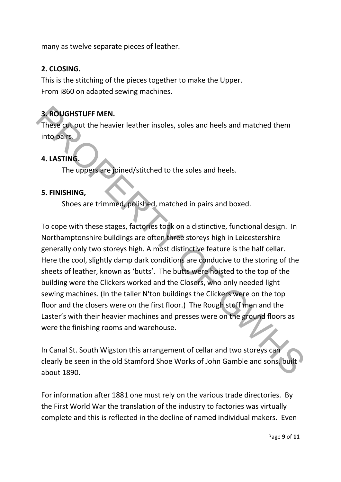many as twelve separate pieces of leather.

#### **2. CLOSING.**

This is the stitching of the pieces together to make the Upper. From i860 on adapted sewing machines.

### **3. ROUGHSTUFF MEN.**

These cut out the heavier leather insoles, soles and heels and matched them into pairs.

#### **4. LASTING.**

The uppers are joined/stitched to the soles and heels.

#### **5. FINISHING,**

Shoes are trimmed, polished, matched in pairs and boxed.

To cope with these stages, factories took on a distinctive, functional design. In Northamptonshire buildings are often three storeys high in Leicestershire generally only two storeys high. A most distinctive feature is the half cellar. Here the cool, slightly damp dark conditions are conducive to the storing of the sheets of leather, known as 'butts'. The butts were hoisted to the top of the building were the Clickers worked and the Closers, who only needed light sewing machines. (In the taller N'ton buildings the Clickers were on the top floor and the closers were on the first floor.) The Rough stuff men and the Laster's with their heavier machines and presses were on the ground floors as were the finishing rooms and warehouse. **3. ROUGHSTUFF MEN.**<br>
These cut out the heavier leather insoles, soles and heels and matched them<br>
into pairs. The uppers are pinned/stitched to the soles and heels.<br> **4. LASTING.**<br>
The uppers are pinned/stitched to the so

In Canal St. South Wigston this arrangement of cellar and two storeys can clearly be seen in the old Stamford Shoe Works of John Gamble and sons, built about 1890.

For information after 1881 one must rely on the various trade directories. By the First World War the translation of the industry to factories was virtually complete and this is reflected in the decline of named individual makers. Even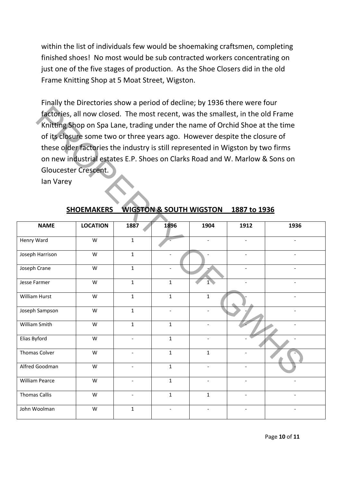within the list of individuals few would be shoemaking craftsmen, completing finished shoes! No most would be sub contracted workers concentrating on just one of the five stages of production. As the Shoe Closers did in the old Frame Knitting Shop at 5 Moat Street, Wigston.

Finally the Directories show a period of decline; by 1936 there were four factories, all now closed. The most recent, was the smallest, in the old Frame Knitting Shop on Spa Lane, trading under the name of Orchid Shoe at the time of its closure some two or three years ago. However despite the closure of these older factories the industry is still represented in Wigston by two firms on new industrial estates E.P. Shoes on Clarks Road and W. Marlow & Sons on Gloucester Crescent.

| factories, all now closed. The most recent, was the smallest, in the old Frame<br>Knitting Shop on Spa Lane, trading under the name of Orchid Shoe at the time |                   |              |                                    |                          |                          |      |  |  |  |
|----------------------------------------------------------------------------------------------------------------------------------------------------------------|-------------------|--------------|------------------------------------|--------------------------|--------------------------|------|--|--|--|
| of its closure some two or three years ago. However despite the closure of                                                                                     |                   |              |                                    |                          |                          |      |  |  |  |
| these older factories the industry is still represented in Wigston by two firms                                                                                |                   |              |                                    |                          |                          |      |  |  |  |
| on new industrial estates E.P. Shoes on Clarks Road and W. Marlow & Sons on                                                                                    |                   |              |                                    |                          |                          |      |  |  |  |
| Gloucester Crescent.                                                                                                                                           |                   |              |                                    |                          |                          |      |  |  |  |
| lan Varey                                                                                                                                                      |                   |              |                                    |                          |                          |      |  |  |  |
|                                                                                                                                                                |                   |              |                                    |                          |                          |      |  |  |  |
|                                                                                                                                                                |                   |              |                                    |                          |                          |      |  |  |  |
|                                                                                                                                                                | <b>SHOEMAKERS</b> |              | <b>WIGSTON &amp; SOUTH WIGSTON</b> |                          | 1887 to 1936             |      |  |  |  |
| <b>NAME</b>                                                                                                                                                    | <b>LOCATION</b>   | 1887         | 1896                               | 1904                     | 1912                     | 1936 |  |  |  |
| Henry Ward                                                                                                                                                     | W                 | $\mathbf{1}$ |                                    |                          |                          |      |  |  |  |
| Joseph Harrison                                                                                                                                                | W                 | $\mathbf{1}$ |                                    |                          |                          |      |  |  |  |
| Joseph Crane                                                                                                                                                   | W                 | $\mathbf{1}$ |                                    |                          |                          |      |  |  |  |
| Jesse Farmer                                                                                                                                                   | W                 | $\mathbf{1}$ | $\mathbf{1}$                       | 1                        |                          |      |  |  |  |
| William Hurst                                                                                                                                                  | W                 | $\mathbf{1}$ | $\mathbf{1}$                       | $\mathbf{1}$             |                          |      |  |  |  |
| Joseph Sampson                                                                                                                                                 | W                 | $\mathbf{1}$ | $\overline{\phantom{a}}$           |                          |                          |      |  |  |  |
| William Smith                                                                                                                                                  | W                 | $\mathbf{1}$ | $\mathbf{1}$                       | $\overline{a}$           |                          |      |  |  |  |
| Elias Byford                                                                                                                                                   | W                 |              | $\mathbf{1}$                       |                          |                          |      |  |  |  |
| <b>Thomas Colver</b>                                                                                                                                           | W                 |              | $\mathbf{1}$                       | $\mathbf{1}$             |                          |      |  |  |  |
| Alfred Goodman                                                                                                                                                 | W                 |              | $\mathbf 1$                        |                          |                          |      |  |  |  |
| <b>William Pearce</b>                                                                                                                                          | W                 |              | $\mathbf 1$                        |                          |                          |      |  |  |  |
| Thomas Callis                                                                                                                                                  | W                 |              | $1\,$                              | 1                        |                          |      |  |  |  |
| John Woolman                                                                                                                                                   | W                 | $\mathbf{1}$ | $\overline{\phantom{a}}$           | $\overline{\phantom{a}}$ | $\overline{\phantom{0}}$ |      |  |  |  |

#### **SHOEMAKERS WIGSTON & SOUTH WIGSTON 1887 to 1936**